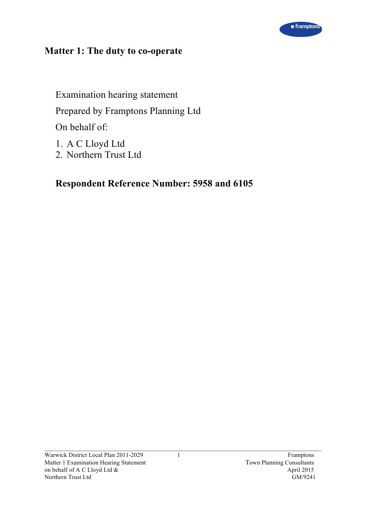

# **Matter 1: The duty to co-operate**

Examination hearing statement Prepared by Framptons Planning Ltd On behalf of:

- 1. A C Lloyd Ltd
- 2. Northern Trust Ltd

# **Respondent Reference Number: 5958 and 6105**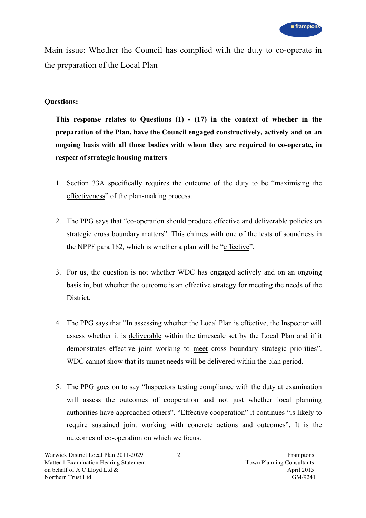Main issue: Whether the Council has complied with the duty to co-operate in the preparation of the Local Plan

# **Questions:**

**This response relates to Questions (1) - (17) in the context of whether in the preparation of the Plan, have the Council engaged constructively, actively and on an ongoing basis with all those bodies with whom they are required to co-operate, in respect of strategic housing matters**

- 1. Section 33A specifically requires the outcome of the duty to be "maximising the effectiveness" of the plan-making process.
- 2. The PPG says that "co-operation should produce effective and deliverable policies on strategic cross boundary matters". This chimes with one of the tests of soundness in the NPPF para 182, which is whether a plan will be "effective".
- 3. For us, the question is not whether WDC has engaged actively and on an ongoing basis in, but whether the outcome is an effective strategy for meeting the needs of the District.
- 4. The PPG says that "In assessing whether the Local Plan is effective, the Inspector will assess whether it is deliverable within the timescale set by the Local Plan and if it demonstrates effective joint working to meet cross boundary strategic priorities". WDC cannot show that its unmet needs will be delivered within the plan period.
- 5. The PPG goes on to say "Inspectors testing compliance with the duty at examination will assess the outcomes of cooperation and not just whether local planning authorities have approached others". "Effective cooperation" it continues "is likely to require sustained joint working with concrete actions and outcomes". It is the outcomes of co-operation on which we focus.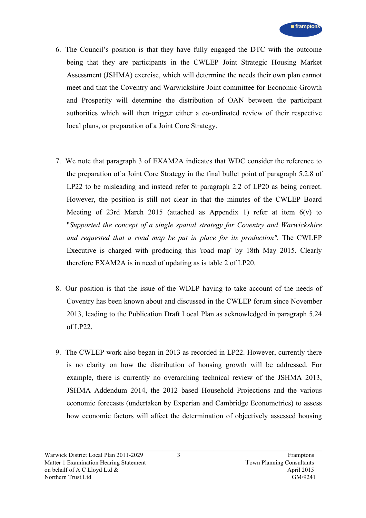- 6. The Council's position is that they have fully engaged the DTC with the outcome being that they are participants in the CWLEP Joint Strategic Housing Market Assessment (JSHMA) exercise, which will determine the needs their own plan cannot meet and that the Coventry and Warwickshire Joint committee for Economic Growth and Prosperity will determine the distribution of OAN between the participant authorities which will then trigger either a co-ordinated review of their respective local plans, or preparation of a Joint Core Strategy.
- 7. We note that paragraph 3 of EXAM2A indicates that WDC consider the reference to the preparation of a Joint Core Strategy in the final bullet point of paragraph 5.2.8 of LP22 to be misleading and instead refer to paragraph 2.2 of LP20 as being correct. However, the position is still not clear in that the minutes of the CWLEP Board Meeting of 23rd March 2015 (attached as Appendix 1) refer at item  $6(v)$  to "*Supported the concept of a single spatial strategy for Coventry and Warwickshire and requested that a road map be put in place for its production".* The CWLEP Executive is charged with producing this 'road map' by 18th May 2015. Clearly therefore EXAM2A is in need of updating as is table 2 of LP20.
- 8. Our position is that the issue of the WDLP having to take account of the needs of Coventry has been known about and discussed in the CWLEP forum since November 2013, leading to the Publication Draft Local Plan as acknowledged in paragraph 5.24 of LP22.
- 9. The CWLEP work also began in 2013 as recorded in LP22. However, currently there is no clarity on how the distribution of housing growth will be addressed. For example, there is currently no overarching technical review of the JSHMA 2013, JSHMA Addendum 2014, the 2012 based Household Projections and the various economic forecasts (undertaken by Experian and Cambridge Econometrics) to assess how economic factors will affect the determination of objectively assessed housing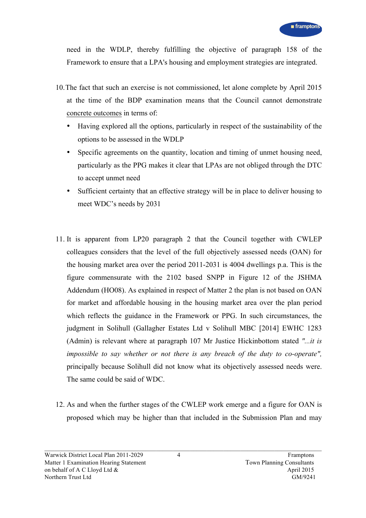need in the WDLP, thereby fulfilling the objective of paragraph 158 of the Framework to ensure that a LPA's housing and employment strategies are integrated.

- 10.The fact that such an exercise is not commissioned, let alone complete by April 2015 at the time of the BDP examination means that the Council cannot demonstrate concrete outcomes in terms of:
	- Having explored all the options, particularly in respect of the sustainability of the options to be assessed in the WDLP
	- Specific agreements on the quantity, location and timing of unmet housing need, particularly as the PPG makes it clear that LPAs are not obliged through the DTC to accept unmet need
	- Sufficient certainty that an effective strategy will be in place to deliver housing to meet WDC's needs by 2031
- 11. It is apparent from LP20 paragraph 2 that the Council together with CWLEP colleagues considers that the level of the full objectively assessed needs (OAN) for the housing market area over the period 2011-2031 is 4004 dwellings p.a. This is the figure commensurate with the 2102 based SNPP in Figure 12 of the JSHMA Addendum (HO08). As explained in respect of Matter 2 the plan is not based on OAN for market and affordable housing in the housing market area over the plan period which reflects the guidance in the Framework or PPG. In such circumstances, the judgment in Solihull (Gallagher Estates Ltd v Solihull MBC [2014] EWHC 1283 (Admin) is relevant where at paragraph 107 Mr Justice Hickinbottom stated *"...it is impossible to say whether or not there is any breach of the duty to co-operate",* principally because Solihull did not know what its objectively assessed needs were. The same could be said of WDC.
- 12. As and when the further stages of the CWLEP work emerge and a figure for OAN is proposed which may be higher than that included in the Submission Plan and may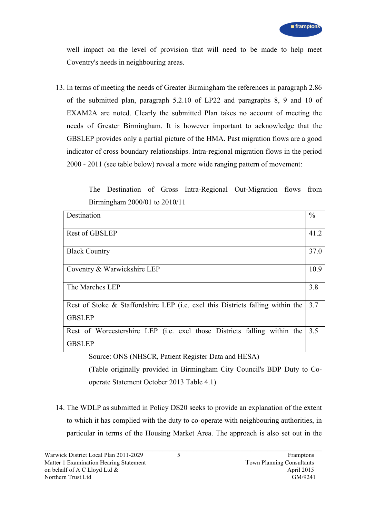well impact on the level of provision that will need to be made to help meet Coventry's needs in neighbouring areas.

13. In terms of meeting the needs of Greater Birmingham the references in paragraph 2.86 of the submitted plan, paragraph 5.2.10 of LP22 and paragraphs 8, 9 and 10 of EXAM2A are noted. Clearly the submitted Plan takes no account of meeting the needs of Greater Birmingham. It is however important to acknowledge that the GBSLEP provides only a partial picture of the HMA. Past migration flows are a good indicator of cross boundary relationships. Intra-regional migration flows in the period 2000 - 2011 (see table below) reveal a more wide ranging pattern of movement:

> The Destination of Gross Intra-Regional Out-Migration flows from Birmingham 2000/01 to 2010/11

| Destination                                                                                                                                                                           | $\frac{0}{0}$ |
|---------------------------------------------------------------------------------------------------------------------------------------------------------------------------------------|---------------|
| <b>Rest of GBSLEP</b>                                                                                                                                                                 | 41.2          |
| <b>Black Country</b>                                                                                                                                                                  | 37.0          |
| Coventry & Warwickshire LEP                                                                                                                                                           | 10.9          |
| The Marches LEP                                                                                                                                                                       | 3.8           |
| Rest of Stoke & Staffordshire LEP (i.e. excl this Districts falling within the<br><b>GBSLEP</b>                                                                                       | 3.7           |
| Rest of Worcestershire LEP (i.e. excl those Districts falling within the<br><b>GBSLEP</b><br>$\text{Source:} \bigcap \text{NIS} \bigcap \text{NHCCD}$ Datient Register Data and HESA) | 3.5           |

Source: ONS (NHSCR, Patient Register Data and HESA)

(Table originally provided in Birmingham City Council's BDP Duty to Cooperate Statement October 2013 Table 4.1)

14. The WDLP as submitted in Policy DS20 seeks to provide an explanation of the extent to which it has complied with the duty to co-operate with neighbouring authorities, in particular in terms of the Housing Market Area. The approach is also set out in the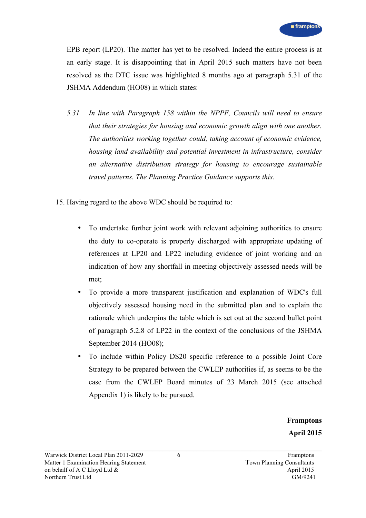EPB report (LP20). The matter has yet to be resolved. Indeed the entire process is at an early stage. It is disappointing that in April 2015 such matters have not been resolved as the DTC issue was highlighted 8 months ago at paragraph 5.31 of the JSHMA Addendum (HO08) in which states:

- *5.31 In line with Paragraph 158 within the NPPF, Councils will need to ensure that their strategies for housing and economic growth align with one another. The authorities working together could, taking account of economic evidence, housing land availability and potential investment in infrastructure, consider an alternative distribution strategy for housing to encourage sustainable travel patterns. The Planning Practice Guidance supports this.*
- 15. Having regard to the above WDC should be required to:
	- To undertake further joint work with relevant adjoining authorities to ensure the duty to co-operate is properly discharged with appropriate updating of references at LP20 and LP22 including evidence of joint working and an indication of how any shortfall in meeting objectively assessed needs will be met;
	- To provide a more transparent justification and explanation of WDC's full objectively assessed housing need in the submitted plan and to explain the rationale which underpins the table which is set out at the second bullet point of paragraph 5.2.8 of LP22 in the context of the conclusions of the JSHMA September 2014 (HO08);
	- To include within Policy DS20 specific reference to a possible Joint Core Strategy to be prepared between the CWLEP authorities if, as seems to be the case from the CWLEP Board minutes of 23 March 2015 (see attached Appendix 1) is likely to be pursued.

**Framptons April 2015**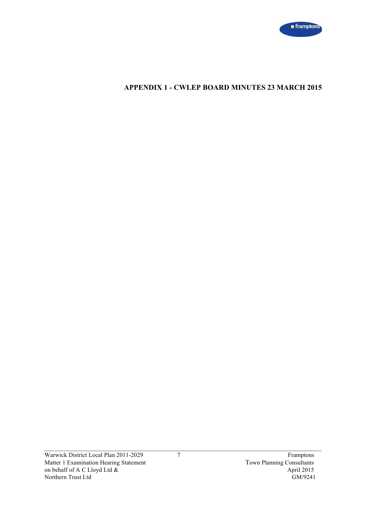

# **APPENDIX 1 - CWLEP BOARD MINUTES 23 MARCH 2015**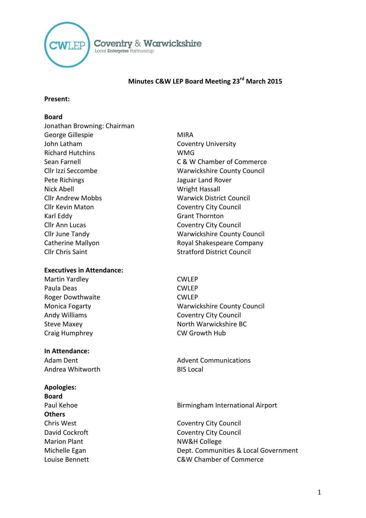

## **Minutes C&W LEP Board Meeting 23rd March 2015**

#### **Present:**

## **Board**

Jonathan Browning: Chairman George Gillespie MIRA John Latham Coventry University Richard Hutchins WMG Pete Richings **Contract Contract Contract Contract Contract Contract Contract Contract Contract Contract Contract Contract Contract Contract Contract Contract Contract Contract Contract Contract Contract Contract Contract** Nick Abell Nick Abell Wright Hassall Cllr Andrew Mobbs Warwick District Council Cllr Kevin Maton Coventry City Council Karl Eddy Grant Thornton Cllr Ann Lucas Coventry City Council Catherine Mallyon **Catherine Mallyon** Royal Shakespeare Company Cllr Chris Saint Stratford District Council

#### **Executives in Attendance:**

Martin Yardley **CWLEP** Paula Deas CWLEP Roger Dowthwaite **CWLEP** Craig Humphrey CW Growth Hub

#### **In Attendance:**

Andrea Whitworth BIS Local

## **Apologies:**

**Board Others**

- Sean Farnell **Sean Farnell** C & W Chamber of Commerce Cllr Izzi Seccombe Warwickshire County Council Cllr June Tandy Warwickshire County Council
- Monica Fogarty Warwickshire County Council Andy Williams **Coventry City Council** Steve Maxey North Warwickshire BC

Adam Dent **Advent Communications** 

## Paul Kehoe Birmingham International Airport

Chris West Coventry City Council David Cockroft Coventry City Council Marion Plant NW&H College Michelle Egan Dept. Communities & Local Government Louise Bennett C&W Chamber of Commerce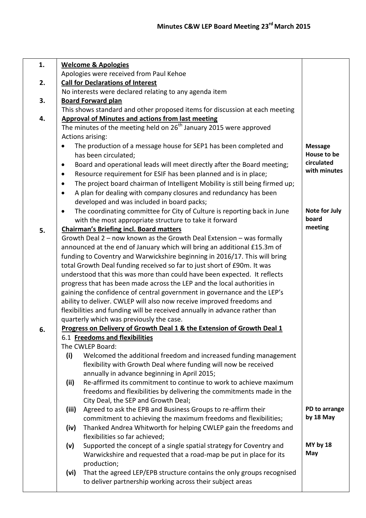| 1. | <b>Welcome &amp; Apologies</b>                                                            |                |  |  |  |
|----|-------------------------------------------------------------------------------------------|----------------|--|--|--|
|    | Apologies were received from Paul Kehoe                                                   |                |  |  |  |
| 2. | <b>Call for Declarations of Interest</b>                                                  |                |  |  |  |
|    | No interests were declared relating to any agenda item                                    |                |  |  |  |
| 3. | <b>Board Forward plan</b>                                                                 |                |  |  |  |
|    | This shows standard and other proposed items for discussion at each meeting               |                |  |  |  |
| 4. | <b>Approval of Minutes and actions from last meeting</b>                                  |                |  |  |  |
|    | The minutes of the meeting held on $26th$ January 2015 were approved                      |                |  |  |  |
|    | Actions arising:                                                                          |                |  |  |  |
|    | The production of a message house for SEP1 has been completed and<br>$\bullet$            | <b>Message</b> |  |  |  |
|    | has been circulated;                                                                      | House to be    |  |  |  |
|    | Board and operational leads will meet directly after the Board meeting;<br>$\bullet$      | circulated     |  |  |  |
|    | Resource requirement for ESIF has been planned and is in place;<br>$\bullet$              | with minutes   |  |  |  |
|    | The project board chairman of Intelligent Mobility is still being firmed up;<br>$\bullet$ |                |  |  |  |
|    | A plan for dealing with company closures and redundancy has been<br>$\bullet$             |                |  |  |  |
|    | developed and was included in board packs;                                                |                |  |  |  |
|    | The coordinating committee for City of Culture is reporting back in June<br>$\bullet$     | Note for July  |  |  |  |
|    | with the most appropriate structure to take it forward                                    | board          |  |  |  |
| 5. | <b>Chairman's Briefing incl. Board matters</b>                                            | meeting        |  |  |  |
|    | Growth Deal 2 - now known as the Growth Deal Extension - was formally                     |                |  |  |  |
|    | announced at the end of January which will bring an additional £15.3m of                  |                |  |  |  |
|    | funding to Coventry and Warwickshire beginning in 2016/17. This will bring                |                |  |  |  |
|    | total Growth Deal funding received so far to just short of £90m. It was                   |                |  |  |  |
|    | understood that this was more than could have been expected. It reflects                  |                |  |  |  |
|    | progress that has been made across the LEP and the local authorities in                   |                |  |  |  |
|    | gaining the confidence of central government in governance and the LEP's                  |                |  |  |  |
|    | ability to deliver. CWLEP will also now receive improved freedoms and                     |                |  |  |  |
|    | flexibilities and funding will be received annually in advance rather than                |                |  |  |  |
|    | quarterly which was previously the case.                                                  |                |  |  |  |
| 6. | Progress on Delivery of Growth Deal 1 & the Extension of Growth Deal 1                    |                |  |  |  |
|    | 6.1 Freedoms and flexibilities                                                            |                |  |  |  |
|    | The CWLEP Board:                                                                          |                |  |  |  |
|    | (i)<br>Welcomed the additional freedom and increased funding management                   |                |  |  |  |
|    | flexibility with Growth Deal where funding will now be received                           |                |  |  |  |
|    | annually in advance beginning in April 2015;                                              |                |  |  |  |
|    | (ii)<br>Re-affirmed its commitment to continue to work to achieve maximum                 |                |  |  |  |
|    | freedoms and flexibilities by delivering the commitments made in the                      |                |  |  |  |
|    | City Deal, the SEP and Growth Deal;                                                       |                |  |  |  |
|    | Agreed to ask the EPB and Business Groups to re-affirm their<br>(iii)                     | PD to arrange  |  |  |  |
|    | commitment to achieving the maximum freedoms and flexibilities;                           | by 18 May      |  |  |  |
|    | Thanked Andrea Whitworth for helping CWLEP gain the freedoms and<br>(iv)                  |                |  |  |  |
|    | flexibilities so far achieved;                                                            |                |  |  |  |
|    | Supported the concept of a single spatial strategy for Coventry and<br>(v)                | MY by 18       |  |  |  |
|    | Warwickshire and requested that a road-map be put in place for its                        | May            |  |  |  |
|    | production;                                                                               |                |  |  |  |
|    | That the agreed LEP/EPB structure contains the only groups recognised<br>(vi)             |                |  |  |  |
|    | to deliver partnership working across their subject areas                                 |                |  |  |  |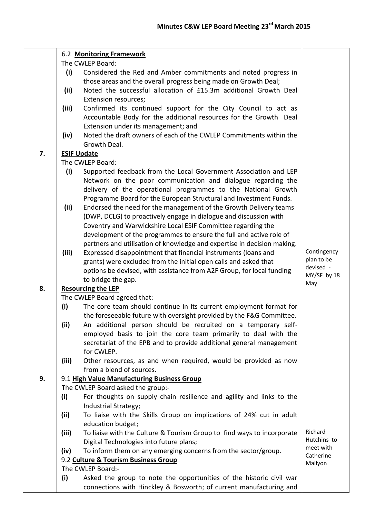|    | 6.2 Monitoring Framework<br>The CWLEP Board:              |                                                                                                                                   |             |  |
|----|-----------------------------------------------------------|-----------------------------------------------------------------------------------------------------------------------------------|-------------|--|
|    | (i)                                                       |                                                                                                                                   |             |  |
|    |                                                           | Considered the Red and Amber commitments and noted progress in<br>those areas and the overall progress being made on Growth Deal; |             |  |
|    | (ii)                                                      | Noted the successful allocation of £15.3m additional Growth Deal                                                                  |             |  |
|    |                                                           | Extension resources;                                                                                                              |             |  |
|    | (iii)                                                     | Confirmed its continued support for the City Council to act as                                                                    |             |  |
|    |                                                           | Accountable Body for the additional resources for the Growth Deal                                                                 |             |  |
|    |                                                           | Extension under its management; and                                                                                               |             |  |
|    | (iv)                                                      | Noted the draft owners of each of the CWLEP Commitments within the                                                                |             |  |
|    |                                                           | Growth Deal.                                                                                                                      |             |  |
| 7. |                                                           | <b>ESIF Update</b>                                                                                                                |             |  |
|    | The CWLEP Board:                                          |                                                                                                                                   |             |  |
|    | (i)                                                       |                                                                                                                                   |             |  |
|    |                                                           | Supported feedback from the Local Government Association and LEP<br>Network on the poor communication and dialogue regarding the  |             |  |
|    |                                                           | delivery of the operational programmes to the National Growth                                                                     |             |  |
|    |                                                           | Programme Board for the European Structural and Investment Funds.                                                                 |             |  |
|    | (ii)                                                      | Endorsed the need for the management of the Growth Delivery teams                                                                 |             |  |
|    |                                                           | (DWP, DCLG) to proactively engage in dialogue and discussion with                                                                 |             |  |
|    |                                                           | Coventry and Warwickshire Local ESIF Committee regarding the                                                                      |             |  |
|    |                                                           | development of the programmes to ensure the full and active role of                                                               |             |  |
|    |                                                           | partners and utilisation of knowledge and expertise in decision making.                                                           |             |  |
|    | (iii)                                                     | Expressed disappointment that financial instruments (loans and                                                                    | Contingency |  |
|    |                                                           | grants) were excluded from the initial open calls and asked that                                                                  | plan to be  |  |
|    |                                                           | options be devised, with assistance from A2F Group, for local funding                                                             | devised -   |  |
|    |                                                           | to bridge the gap.                                                                                                                | MY/SF by 18 |  |
| 8. | <b>Resourcing the LEP</b>                                 |                                                                                                                                   |             |  |
|    | The CWLEP Board agreed that:                              |                                                                                                                                   |             |  |
|    | (i)                                                       | The core team should continue in its current employment format for                                                                |             |  |
|    |                                                           | the foreseeable future with oversight provided by the F&G Committee.                                                              |             |  |
|    | (ii)                                                      | An additional person should be recruited on a temporary self-                                                                     |             |  |
|    |                                                           | employed basis to join the core team primarily to deal with the                                                                   |             |  |
|    |                                                           | secretariat of the EPB and to provide additional general management                                                               |             |  |
|    |                                                           | for CWLEP.                                                                                                                        |             |  |
|    | (iii)                                                     | Other resources, as and when required, would be provided as now                                                                   |             |  |
|    |                                                           | from a blend of sources.                                                                                                          |             |  |
| 9. |                                                           | 9.1 High Value Manufacturing Business Group                                                                                       |             |  |
|    |                                                           | The CWLEP Board asked the group:-                                                                                                 |             |  |
|    | (i)                                                       | For thoughts on supply chain resilience and agility and links to the                                                              |             |  |
|    |                                                           | Industrial Strategy;                                                                                                              |             |  |
|    | (ii)                                                      | To liaise with the Skills Group on implications of 24% cut in adult                                                               |             |  |
|    |                                                           | education budget;                                                                                                                 |             |  |
|    | (iii)                                                     | To liaise with the Culture & Tourism Group to find ways to incorporate                                                            | Richard     |  |
|    |                                                           | Digital Technologies into future plans;                                                                                           | Hutchins to |  |
|    | (iv)                                                      | To inform them on any emerging concerns from the sector/group.                                                                    | meet with   |  |
|    |                                                           | Catherine<br>Mallyon                                                                                                              |             |  |
|    | 9.2 Culture & Tourism Business Group<br>The CWLEP Board:- |                                                                                                                                   |             |  |
|    | (i)                                                       | Asked the group to note the opportunities of the historic civil war                                                               |             |  |
|    |                                                           | connections with Hinckley & Bosworth; of current manufacturing and                                                                |             |  |